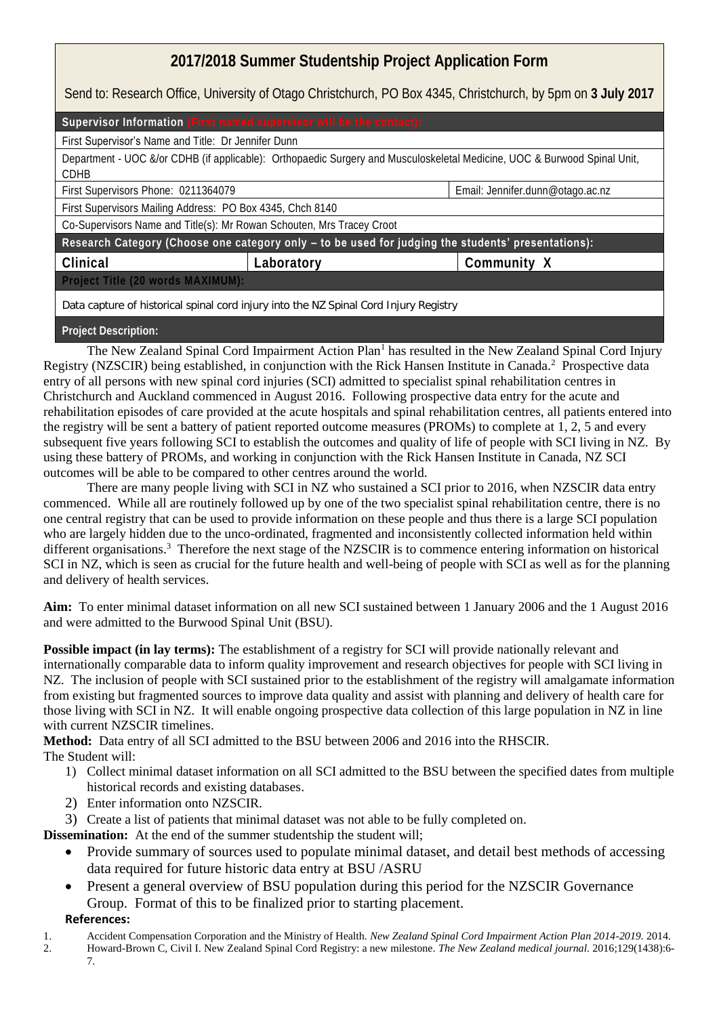## **2017/2018 Summer Studentship Project Application Form**

Send to: Research Office, University of Otago Christchurch, PO Box 4345, Christchurch, by 5pm on **3 July 2017**

| Supervisor Information (First named supervisor will be the contact):                                                             |            |                                  |
|----------------------------------------------------------------------------------------------------------------------------------|------------|----------------------------------|
| First Supervisor's Name and Title: Dr Jennifer Dunn                                                                              |            |                                  |
| Department - UOC &/or CDHB (if applicable): Orthopaedic Surgery and Musculoskeletal Medicine, UOC & Burwood Spinal Unit,<br>CDHB |            |                                  |
| First Supervisors Phone: 0211364079                                                                                              |            | Email: Jennifer.dunn@otago.ac.nz |
| First Supervisors Mailing Address: PO Box 4345, Chch 8140                                                                        |            |                                  |
| Co-Supervisors Name and Title(s): Mr Rowan Schouten, Mrs Tracey Croot                                                            |            |                                  |
| Research Category (Choose one category only - to be used for judging the students' presentations):                               |            |                                  |
| Clinical                                                                                                                         | Laboratory | Community X                      |
| Project Title (20 words MAXIMUM):                                                                                                |            |                                  |
| Data capture of historical spinal cord injury into the NZ Spinal Cord Injury Registry                                            |            |                                  |

**Project Description:**

The New Zealand Spinal Cord Impairment Action Plan<sup>1</sup> has resulted in the New Zealand Spinal Cord Injury Registry (NZSCIR) being established, in conjunction with the Rick Hansen Institute in Canada.<sup>2</sup> Prospective data entry of all persons with new spinal cord injuries (SCI) admitted to specialist spinal rehabilitation centres in Christchurch and Auckland commenced in August 2016. Following prospective data entry for the acute and rehabilitation episodes of care provided at the acute hospitals and spinal rehabilitation centres, all patients entered into the registry will be sent a battery of patient reported outcome measures (PROMs) to complete at 1, 2, 5 and every subsequent five years following SCI to establish the outcomes and quality of life of people with SCI living in NZ. By using these battery of PROMs, and working in conjunction with the Rick Hansen Institute in Canada, NZ SCI outcomes will be able to be compared to other centres around the world.

There are many people living with SCI in NZ who sustained a SCI prior to 2016, when NZSCIR data entry commenced. While all are routinely followed up by one of the two specialist spinal rehabilitation centre, there is no one central registry that can be used to provide information on these people and thus there is a large SCI population who are largely hidden due to the unco-ordinated, fragmented and inconsistently collected information held within different organisations.<sup>3</sup> Therefore the next stage of the NZSCIR is to commence entering information on historical SCI in NZ, which is seen as crucial for the future health and well-being of people with SCI as well as for the planning and delivery of health services.

**Aim:** To enter minimal dataset information on all new SCI sustained between 1 January 2006 and the 1 August 2016 and were admitted to the Burwood Spinal Unit (BSU).

**Possible impact (in lay terms):** The establishment of a registry for SCI will provide nationally relevant and internationally comparable data to inform quality improvement and research objectives for people with SCI living in NZ. The inclusion of people with SCI sustained prior to the establishment of the registry will amalgamate information from existing but fragmented sources to improve data quality and assist with planning and delivery of health care for those living with SCI in NZ. It will enable ongoing prospective data collection of this large population in NZ in line with current NZSCIR timelines.

**Method:** Data entry of all SCI admitted to the BSU between 2006 and 2016 into the RHSCIR. The Student will:

- 1) Collect minimal dataset information on all SCI admitted to the BSU between the specified dates from multiple historical records and existing databases.
- 2) Enter information onto NZSCIR.
- 3) Create a list of patients that minimal dataset was not able to be fully completed on.

**Dissemination:** At the end of the summer studentship the student will;

- Provide summary of sources used to populate minimal dataset, and detail best methods of accessing data required for future historic data entry at BSU /ASRU
- Present a general overview of BSU population during this period for the NZSCIR Governance Group. Format of this to be finalized prior to starting placement.

## **References:**

- 1. Accident Compensation Corporation and the Ministry of Health. *New Zealand Spinal Cord Impairment Action Plan 2014-2019.* 2014.
- 2. Howard-Brown C, Civil I. New Zealand Spinal Cord Registry: a new milestone. *The New Zealand medical journal.* 2016;129(1438):6- 7.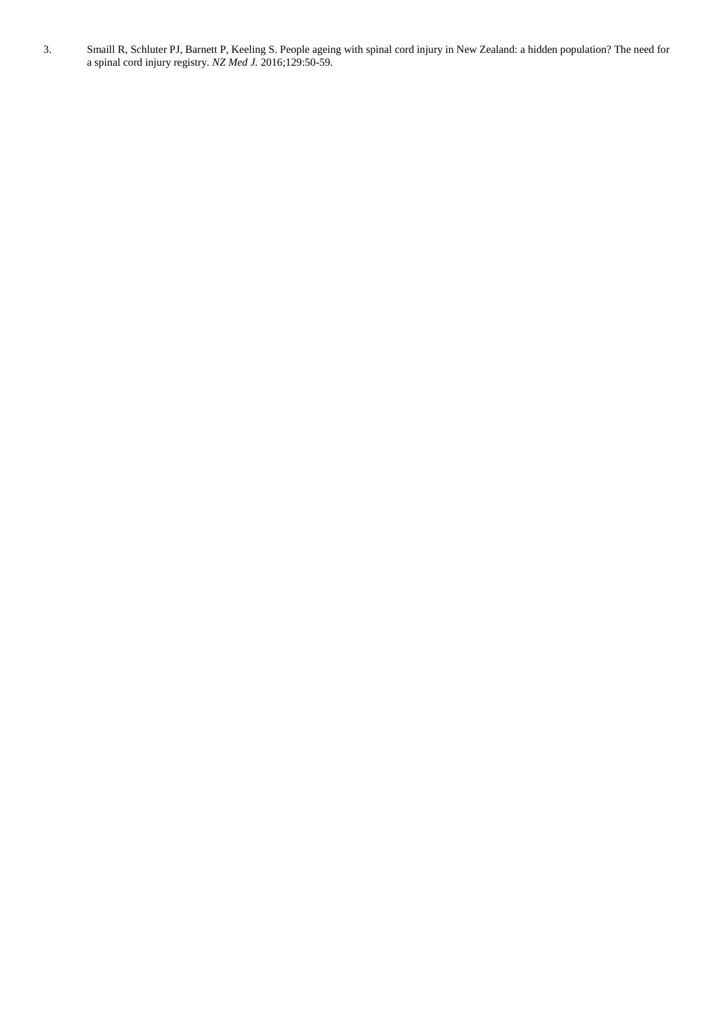3. Smaill R, Schluter PJ, Barnett P, Keeling S. People ageing with spinal cord injury in New Zealand: a hidden population? The need for a spinal cord injury registry. *NZ Med J.* 2016;129:50-59.